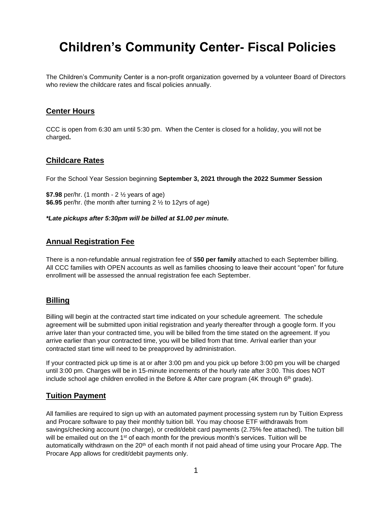# **Children's Community Center- Fiscal Policies**

The Children's Community Center is a non-profit organization governed by a volunteer Board of Directors who review the childcare rates and fiscal policies annually.

## **Center Hours**

CCC is open from 6:30 am until 5:30 pm. When the Center is closed for a holiday, you will not be charged**.** 

#### **Childcare Rates**

For the School Year Session beginning **September 3, 2021 through the 2022 Summer Session**

**\$7.98** per/hr. (1 month - 2 ½ years of age) **\$6.95** per/hr. (the month after turning 2 ½ to 12yrs of age)

*\*Late pickups after 5:30pm will be billed at \$1.00 per minute.*

## **Annual Registration Fee**

There is a non-refundable annual registration fee of \$**50 per family** attached to each September billing. All CCC families with OPEN accounts as well as families choosing to leave their account "open" for future enrollment will be assessed the annual registration fee each September.

## **Billing**

Billing will begin at the contracted start time indicated on your schedule agreement. The schedule agreement will be submitted upon initial registration and yearly thereafter through a google form. If you arrive later than your contracted time, you will be billed from the time stated on the agreement. If you arrive earlier than your contracted time, you will be billed from that time. Arrival earlier than your contracted start time will need to be preapproved by administration.

If your contracted pick up time is at or after 3:00 pm and you pick up before 3:00 pm you will be charged until 3:00 pm. Charges will be in 15-minute increments of the hourly rate after 3:00. This does NOT include school age children enrolled in the Before & After care program (4K through  $6<sup>th</sup>$  grade).

## **Tuition Payment**

All families are required to sign up with an automated payment processing system run by Tuition Express and Procare software to pay their monthly tuition bill. You may choose ETF withdrawals from savings/checking account (no charge), or credit/debit card payments (2.75% fee attached). The tuition bill will be emailed out on the 1<sup>st</sup> of each month for the previous month's services. Tuition will be automatically withdrawn on the 20<sup>th</sup> of each month if not paid ahead of time using your Procare App. The Procare App allows for credit/debit payments only.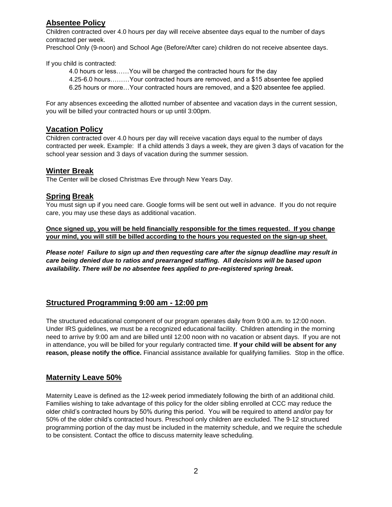# **Absentee Policy**

Children contracted over 4.0 hours per day will receive absentee days equal to the number of days contracted per week.

Preschool Only (9-noon) and School Age (Before/After care) children do not receive absentee days.

If you child is contracted:

4.0 hours or less……You will be charged the contracted hours for the day 4.25-6.0 hours………Your contracted hours are removed, and a \$15 absentee fee applied 6.25 hours or more…Your contracted hours are removed, and a \$20 absentee fee applied.

For any absences exceeding the allotted number of absentee and vacation days in the current session, you will be billed your contracted hours or up until 3:00pm.

## **Vacation Policy**

Children contracted over 4.0 hours per day will receive vacation days equal to the number of days contracted per week. Example: If a child attends 3 days a week, they are given 3 days of vacation for the school year session and 3 days of vacation during the summer session.

## **Winter Break**

The Center will be closed Christmas Eve through New Years Day.

## **Spring Break**

You must sign up if you need care. Google forms will be sent out well in advance. If you do not require care, you may use these days as additional vacation.

**Once signed up, you will be held financially responsible for the times requested. If you change your mind, you will still be billed according to the hours you requested on the sign-up sheet**.

*Please note! Failure to sign up and then requesting care after the signup deadline may result in care being denied due to ratios and prearranged staffing. All decisions will be based upon availability. There will be no absentee fees applied to pre-registered spring break.*

#### **Structured Programming 9:00 am - 12:00 pm**

The structured educational component of our program operates daily from 9:00 a.m. to 12:00 noon. Under IRS guidelines, we must be a recognized educational facility. Children attending in the morning need to arrive by 9:00 am and are billed until 12:00 noon with no vacation or absent days. If you are not in attendance, you will be billed for your regularly contracted time. **If your child will be absent for any reason, please notify the office.** Financial assistance available for qualifying families. Stop in the office.

#### **Maternity Leave 50%**

Maternity Leave is defined as the 12-week period immediately following the birth of an additional child. Families wishing to take advantage of this policy for the older sibling enrolled at CCC may reduce the older child's contracted hours by 50% during this period. You will be required to attend and/or pay for 50% of the older child's contracted hours. Preschool only children are excluded. The 9-12 structured programming portion of the day must be included in the maternity schedule, and we require the schedule to be consistent. Contact the office to discuss maternity leave scheduling.